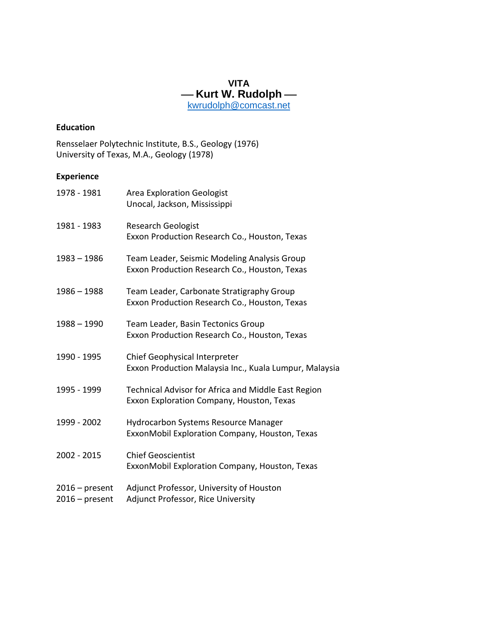**VITA** -Kurt W. Rudolph[kwrudolph@comcast.net](mailto:kwrudolph@comcast.net)

#### **Education**

Rensselaer Polytechnic Institute, B.S., Geology (1976) University of Texas, M.A., Geology (1978)

# **Experience**

| 1978 - 1981                          | <b>Area Exploration Geologist</b><br>Unocal, Jackson, Mississippi                                |
|--------------------------------------|--------------------------------------------------------------------------------------------------|
| 1981 - 1983                          | <b>Research Geologist</b><br>Exxon Production Research Co., Houston, Texas                       |
| $1983 - 1986$                        | Team Leader, Seismic Modeling Analysis Group<br>Exxon Production Research Co., Houston, Texas    |
| $1986 - 1988$                        | Team Leader, Carbonate Stratigraphy Group<br>Exxon Production Research Co., Houston, Texas       |
| $1988 - 1990$                        | Team Leader, Basin Tectonics Group<br>Exxon Production Research Co., Houston, Texas              |
| 1990 - 1995                          | Chief Geophysical Interpreter<br>Exxon Production Malaysia Inc., Kuala Lumpur, Malaysia          |
| 1995 - 1999                          | Technical Advisor for Africa and Middle East Region<br>Exxon Exploration Company, Houston, Texas |
| 1999 - 2002                          | <b>Hydrocarbon Systems Resource Manager</b><br>ExxonMobil Exploration Company, Houston, Texas    |
| 2002 - 2015                          | <b>Chief Geoscientist</b><br>ExxonMobil Exploration Company, Houston, Texas                      |
| $2016$ – present<br>$2016$ – present | Adjunct Professor, University of Houston<br>Adjunct Professor, Rice University                   |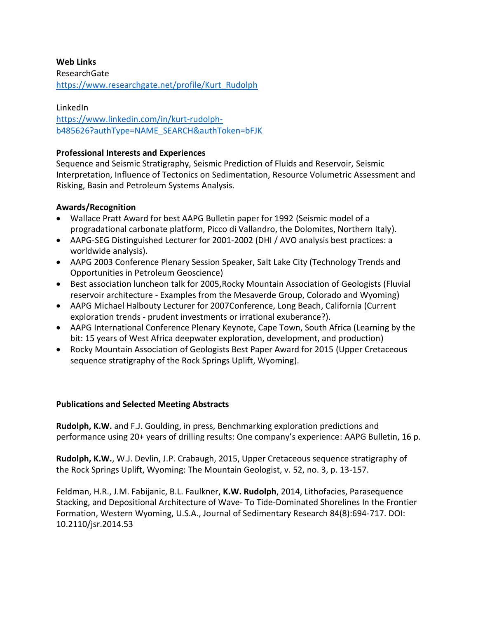#### **Web Links**

ResearchGate [https://www.researchgate.net/profile/Kurt\\_Rudolph](https://www.researchgate.net/profile/Kurt_Rudolph)

### LinkedIn

[https://www.linkedin.com/in/kurt-rudolph](https://www.linkedin.com/in/kurt-rudolph-b485626?authType=NAME_SEARCH&authToken=bFJK)[b485626?authType=NAME\\_SEARCH&authToken=bFJK](https://www.linkedin.com/in/kurt-rudolph-b485626?authType=NAME_SEARCH&authToken=bFJK)

### **Professional Interests and Experiences**

Sequence and Seismic Stratigraphy, Seismic Prediction of Fluids and Reservoir, Seismic Interpretation, Influence of Tectonics on Sedimentation, Resource Volumetric Assessment and Risking, Basin and Petroleum Systems Analysis.

# **Awards/Recognition**

- Wallace Pratt Award for best AAPG Bulletin paper for 1992 (Seismic model of a progradational carbonate platform, Picco di Vallandro, the Dolomites, Northern Italy).
- AAPG-SEG Distinguished Lecturer for 2001-2002 (DHI / AVO analysis best practices: a worldwide analysis).
- AAPG 2003 Conference Plenary Session Speaker, Salt Lake City (Technology Trends and Opportunities in Petroleum Geoscience)
- Best association luncheon talk for 2005,Rocky Mountain Association of Geologists (Fluvial reservoir architecture - Examples from the Mesaverde Group, Colorado and Wyoming)
- AAPG Michael Halbouty Lecturer for 2007Conference, Long Beach, California (Current exploration trends - prudent investments or irrational exuberance?).
- AAPG International Conference Plenary Keynote, Cape Town, South Africa (Learning by the bit: 15 years of West Africa deepwater exploration, development, and production)
- Rocky Mountain Association of Geologists Best Paper Award for 2015 (Upper Cretaceous sequence stratigraphy of the Rock Springs Uplift, Wyoming).

# **Publications and Selected Meeting Abstracts**

**Rudolph, K.W.** and F.J. Goulding, in press, Benchmarking exploration predictions and performance using 20+ years of drilling results: One company's experience: AAPG Bulletin, 16 p.

**Rudolph, K.W.**, W.J. Devlin, J.P. Crabaugh, 2015, Upper Cretaceous sequence stratigraphy of the Rock Springs Uplift, Wyoming: The Mountain Geologist, v. 52, no. 3, p. 13-157.

Feldman, H.R., J.M. Fabijanic, B.L. Faulkner, **K.W. Rudolph**, 2014, Lithofacies, Parasequence Stacking, and Depositional Architecture of Wave- To Tide-Dominated Shorelines In the Frontier Formation, Western Wyoming, U.S.A., Journal of Sedimentary Research 84(8):694-717. DOI: 10.2110/jsr.2014.53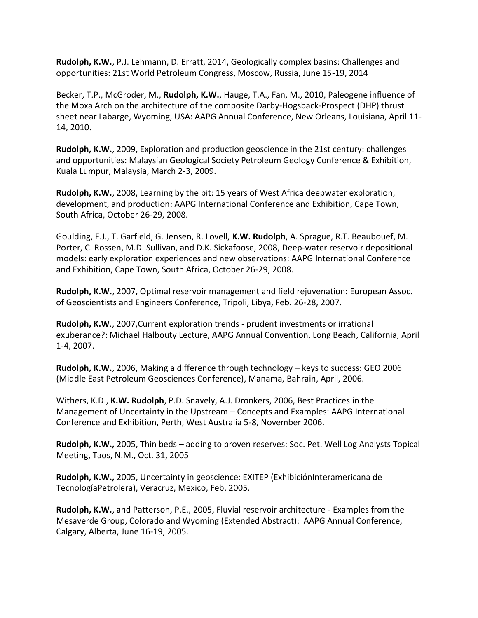**Rudolph, K.W.**, P.J. Lehmann, D. Erratt, 2014, Geologically complex basins: Challenges and opportunities: 21st World Petroleum Congress, Moscow, Russia, June 15-19, 2014

Becker, T.P., McGroder, M., **Rudolph, K.W.**, Hauge, T.A., Fan, M., 2010, Paleogene influence of the Moxa Arch on the architecture of the composite Darby‐Hogsback‐Prospect (DHP) thrust sheet near Labarge, Wyoming, USA: AAPG Annual Conference, New Orleans, Louisiana, April 11- 14, 2010.

**Rudolph, K.W.**, 2009, Exploration and production geoscience in the 21st century: challenges and opportunities: Malaysian Geological Society Petroleum Geology Conference & Exhibition, Kuala Lumpur, Malaysia, March 2-3, 2009.

**Rudolph, K.W.**, 2008, Learning by the bit: 15 years of West Africa deepwater exploration, development, and production: AAPG International Conference and Exhibition, Cape Town, South Africa, October 26-29, 2008.

Goulding, F.J., T. Garfield, G. Jensen, R. Lovell, **K.W. Rudolph**, A. Sprague, R.T. Beaubouef, M. Porter, C. Rossen, M.D. Sullivan, and D.K. Sickafoose, 2008, Deep-water reservoir depositional models: early exploration experiences and new observations: AAPG International Conference and Exhibition, Cape Town, South Africa, October 26-29, 2008.

**Rudolph, K.W.**, 2007, Optimal reservoir management and field rejuvenation: European Assoc. of Geoscientists and Engineers Conference, Tripoli, Libya, Feb. 26-28, 2007.

**Rudolph, K.W**., 2007,Current exploration trends - prudent investments or irrational exuberance?: Michael Halbouty Lecture, AAPG Annual Convention, Long Beach, California, April 1-4, 2007.

**Rudolph, K.W.**, 2006, Making a difference through technology – keys to success: GEO 2006 (Middle East Petroleum Geosciences Conference), Manama, Bahrain, April, 2006.

Withers, K.D., **K.W. Rudolph**, P.D. Snavely, A.J. Dronkers, 2006, Best Practices in the Management of Uncertainty in the Upstream – Concepts and Examples: AAPG International Conference and Exhibition, Perth, West Australia 5-8, November 2006.

**Rudolph, K.W.,** 2005, Thin beds – adding to proven reserves: Soc. Pet. Well Log Analysts Topical Meeting, Taos, N.M., Oct. 31, 2005

**Rudolph, K.W.,** 2005, Uncertainty in geoscience: EXITEP (ExhibiciónInteramericana de TecnologíaPetrolera), Veracruz, Mexico, Feb. 2005.

**Rudolph, K.W.**, and Patterson, P.E., 2005, Fluvial reservoir architecture - Examples from the Mesaverde Group, Colorado and Wyoming (Extended Abstract): AAPG Annual Conference, Calgary, Alberta, June 16-19, 2005.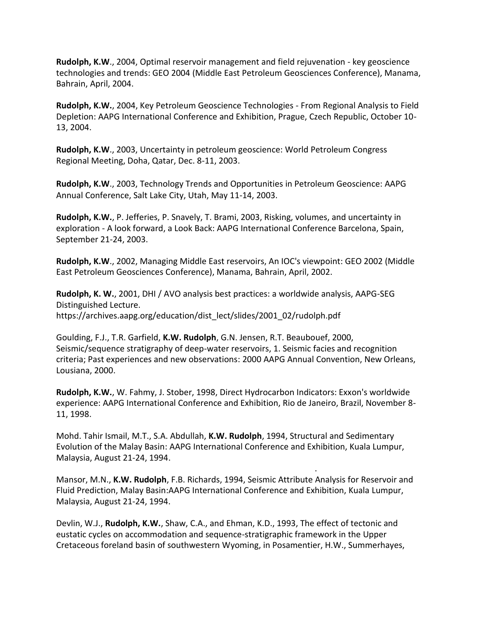**Rudolph, K.W**., 2004, Optimal reservoir management and field rejuvenation - key geoscience technologies and trends: GEO 2004 (Middle East Petroleum Geosciences Conference), Manama, Bahrain, April, 2004.

**Rudolph, K.W.**, 2004, Key Petroleum Geoscience Technologies - From Regional Analysis to Field Depletion: AAPG International Conference and Exhibition, Prague, Czech Republic, October 10- 13, 2004.

**Rudolph, K.W**., 2003, Uncertainty in petroleum geoscience: World Petroleum Congress Regional Meeting, Doha, Qatar, Dec. 8-11, 2003.

**Rudolph, K.W**., 2003, Technology Trends and Opportunities in Petroleum Geoscience: AAPG Annual Conference, Salt Lake City, Utah, May 11-14, 2003.

**Rudolph, K.W.**, P. Jefferies, P. Snavely, T. Brami, 2003, Risking, volumes, and uncertainty in exploration - A look forward, a Look Back: AAPG International Conference Barcelona, Spain, September 21-24, 2003.

**Rudolph, K.W**., 2002, Managing Middle East reservoirs, An IOC's viewpoint: GEO 2002 (Middle East Petroleum Geosciences Conference), Manama, Bahrain, April, 2002.

**Rudolph, K. W.**, 2001, DHI / AVO analysis best practices: a worldwide analysis, AAPG-SEG Distinguished Lecture. https://archives.aapg.org/education/dist\_lect/slides/2001\_02/rudolph.pdf

Goulding, F.J., T.R. Garfield, **K.W. Rudolph**, G.N. Jensen, R.T. Beaubouef, 2000, Seismic/sequence stratigraphy of deep-water reservoirs, 1. Seismic facies and recognition criteria; Past experiences and new observations: 2000 AAPG Annual Convention, New Orleans, Lousiana, 2000.

**Rudolph, K.W.**, W. Fahmy, J. Stober, 1998, Direct Hydrocarbon Indicators: Exxon's worldwide experience: AAPG International Conference and Exhibition, Rio de Janeiro, Brazil, November 8- 11, 1998.

Mohd. Tahir Ismail, M.T., S.A. Abdullah, **K.W. Rudolph**, 1994, Structural and Sedimentary Evolution of the Malay Basin: AAPG International Conference and Exhibition, Kuala Lumpur, Malaysia, August 21-24, 1994.

Mansor, M.N., **K.W. Rudolph**, F.B. Richards, 1994, Seismic Attribute Analysis for Reservoir and Fluid Prediction, Malay Basin:AAPG International Conference and Exhibition, Kuala Lumpur, Malaysia, August 21-24, 1994.

.

Devlin, W.J., **Rudolph, K.W.**, Shaw, C.A., and Ehman, K.D., 1993, The effect of tectonic and eustatic cycles on accommodation and sequence-stratigraphic framework in the Upper Cretaceous foreland basin of southwestern Wyoming, in Posamentier, H.W., Summerhayes,